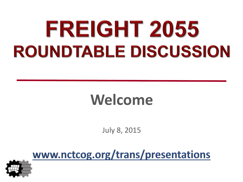# FREIGHT 2055 **ROUNDTABLE DISCUSSION**

### **Welcome**

July 8, 2015

www.nctcog.org/trans/presentations

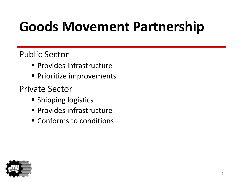## **Goods Movement Partnership**

#### Public Sector

- **Provides infrastructure**
- **Prioritize improvements**

#### Private Sector

- **Shipping logistics**
- **Provides infrastructure**
- Conforms to conditions

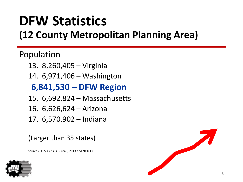#### **DFW Statistics (12 County Metropolitan Planning Area)**

Population

- 13. 8,260,405 Virginia
- 14. 6,971,406 Washington

#### **6,841,530 – DFW Region**

- 15. 6,692,824 Massachusetts
- 16. 6,626,624 Arizona
- 17. 6,570,902 Indiana

(Larger than 35 states)

Sources: U.S. Census Bureau, 2013 and NCTCOG



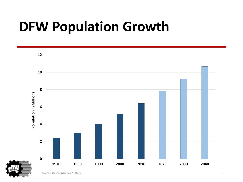#### **DFW Population Growth**

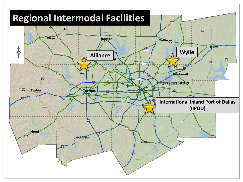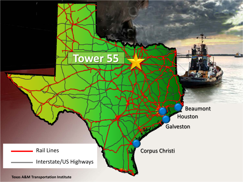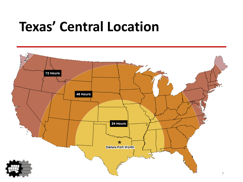#### **Texas' Central Location**

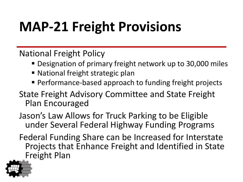## **MAP-21 Freight Provisions**

National Freight Policy

- Designation of primary freight network up to 30,000 miles
- National freight strategic plan
- Performance-based approach to funding freight projects
- State Freight Advisory Committee and State Freight Plan Encouraged
- Jason's Law Allows for Truck Parking to be Eligible under Several Federal Highway Funding Programs
- Federal Funding Share can be Increased for Interstate Projects that Enhance Freight and Identified in State Freight Plan

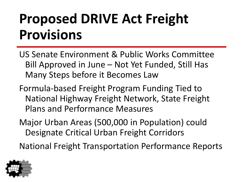### **Proposed DRIVE Act Freight Provisions**

- US Senate Environment & Public Works Committee Bill Approved in June – Not Yet Funded, Still Has Many Steps before it Becomes Law
- Formula-based Freight Program Funding Tied to National Highway Freight Network, State Freight Plans and Performance Measures
- Major Urban Areas (500,000 in Population) could Designate Critical Urban Freight Corridors

National Freight Transportation Performance Reports